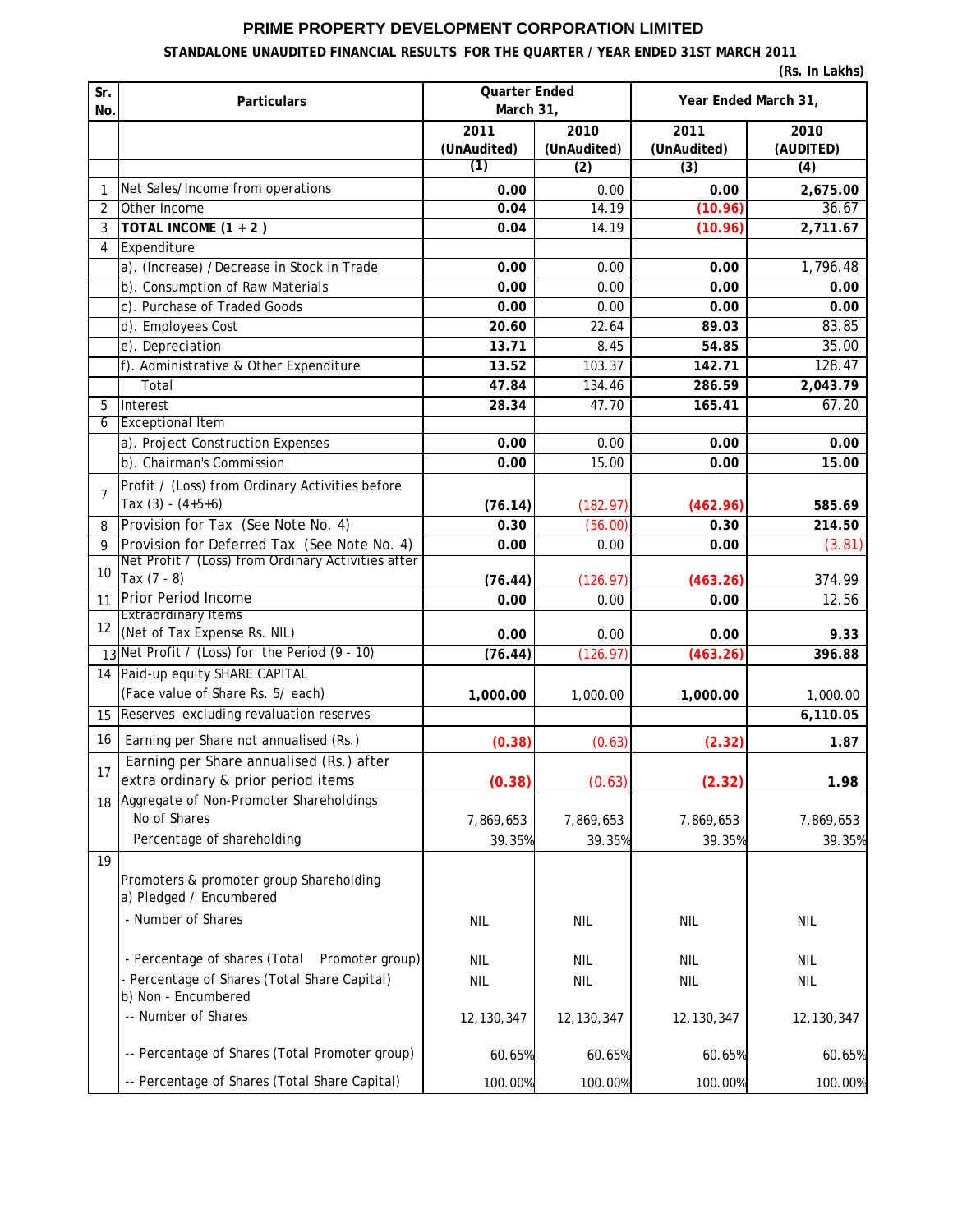## **PRIME PROPERTY DEVELOPMENT CORPORATION LIMITED**

## **STANDALONE UNAUDITED FINANCIAL RESULTS FOR THE QUARTER / YEAR ENDED 31ST MARCH 2011**

| (Rs. In Lakhs) |                                                                                                   |                                   |                     |                      |                   |  |  |  |
|----------------|---------------------------------------------------------------------------------------------------|-----------------------------------|---------------------|----------------------|-------------------|--|--|--|
| Sr.<br>No.     | <b>Particulars</b>                                                                                | <b>Quarter Ended</b><br>March 31, |                     | Year Ended March 31, |                   |  |  |  |
|                |                                                                                                   | 2011<br>(UnAudited)               | 2010<br>(UnAudited) | 2011<br>(UnAudited)  | 2010<br>(AUDITED) |  |  |  |
|                |                                                                                                   | (1)                               | (2)                 | (3)                  | (4)               |  |  |  |
| 1              | Net Sales/Income from operations                                                                  | 0.00                              | 0.00                | 0.00                 | 2,675.00          |  |  |  |
| $\overline{2}$ | Other Income                                                                                      | 0.04                              | 14.19               | (10.96)              | 36.67             |  |  |  |
| 3              | TOTAL INCOME $(1 + 2)$                                                                            | 0.04                              | 14.19               | (10.96)              | 2,711.67          |  |  |  |
| 4              | Expenditure                                                                                       |                                   |                     |                      |                   |  |  |  |
|                | a). (Increase) /Decrease in Stock in Trade                                                        | 0.00                              | 0.00                | 0.00                 | 1,796.48          |  |  |  |
|                | b). Consumption of Raw Materials                                                                  | 0.00                              | 0.00                | 0.00                 | 0.00              |  |  |  |
|                | c). Purchase of Traded Goods                                                                      | 0.00                              | 0.00                | 0.00                 | 0.00              |  |  |  |
|                | d). Employees Cost                                                                                | 20.60                             | 22.64               | 89.03                | 83.85             |  |  |  |
|                | e). Depreciation                                                                                  | 13.71                             | 8.45                | 54.85                | 35.00             |  |  |  |
|                | f). Administrative & Other Expenditure                                                            | 13.52                             | 103.37              | 142.71               | 128.47            |  |  |  |
|                | Total                                                                                             | 47.84                             | 134.46              | 286.59               | 2,043.79          |  |  |  |
| 5              | Interest                                                                                          | 28.34                             | 47.70               | 165.41               | 67.20             |  |  |  |
| 6              | <b>Exceptional Item</b><br>a). Project Construction Expenses                                      |                                   | 0.00                |                      |                   |  |  |  |
|                | b). Chairman's Commission                                                                         | 0.00<br>0.00                      | 15.00               | 0.00<br>0.00         | 0.00<br>15.00     |  |  |  |
|                |                                                                                                   |                                   |                     |                      |                   |  |  |  |
| 7              | Profit / (Loss) from Ordinary Activities before                                                   |                                   |                     |                      |                   |  |  |  |
|                | Tax $(3) - (4+5+6)$                                                                               | (76.14)                           | (182.97)            | (462.96)             | 585.69            |  |  |  |
| 8              | Provision for Tax (See Note No. 4)                                                                | 0.30                              | (56.00)             | 0.30                 | 214.50            |  |  |  |
| $\mathsf{Q}$   | Provision for Deferred Tax (See Note No. 4)<br>Net Profit / (Loss) from Ordinary Activities after | 0.00                              | 0.00                | 0.00                 | (3.81)            |  |  |  |
| 10             | Tax $(7 - 8)$                                                                                     | (76.44)                           | (126.97)            | (463.26)             | 374.99            |  |  |  |
| 11             | Prior Period Income                                                                               | 0.00                              | 0.00                | 0.00                 | 12.56             |  |  |  |
|                | <b>Extraordinary Items</b>                                                                        |                                   |                     |                      |                   |  |  |  |
| 12             | (Net of Tax Expense Rs. NIL)                                                                      | 0.00                              | 0.00                | 0.00                 | 9.33              |  |  |  |
|                | 13 Net Profit / (Loss) for the Period (9 - 10)                                                    | (76.44)                           | (126.97)            | (463.26)             | 396.88            |  |  |  |
|                | 14 Paid-up equity SHARE CAPITAL                                                                   |                                   |                     |                      |                   |  |  |  |
|                | (Face value of Share Rs. 5/ each)                                                                 | 1,000.00                          | 1,000.00            | 1,000.00             | 1,000.00          |  |  |  |
| 15             | Reserves excluding revaluation reserves                                                           |                                   |                     |                      | 6,110.05          |  |  |  |
| 16             | Earning per Share not annualised (Rs.)                                                            | (0.38)                            | (0.63)              | (2.32)               | 1.87              |  |  |  |
|                | Earning per Share annualised (Rs.) after                                                          |                                   |                     |                      |                   |  |  |  |
| 17             | extra ordinary & prior period items                                                               | (0.38)                            | (0.63)              | (2.32)               | 1.98              |  |  |  |
| 18             | Aggregate of Non-Promoter Shareholdings                                                           |                                   |                     |                      |                   |  |  |  |
|                | No of Shares                                                                                      | 7,869,653                         | 7,869,653           | 7,869,653            | 7,869,653         |  |  |  |
|                | Percentage of shareholding                                                                        | 39.35%                            | 39.35%              | 39.35%               | 39.35%            |  |  |  |
| 19             |                                                                                                   |                                   |                     |                      |                   |  |  |  |
|                | Promoters & promoter group Shareholding<br>a) Pledged / Encumbered                                |                                   |                     |                      |                   |  |  |  |
|                | - Number of Shares                                                                                | <b>NIL</b>                        | <b>NIL</b>          | NIL                  | <b>NIL</b>        |  |  |  |
|                | - Percentage of shares (Total<br>Promoter group)                                                  | <b>NIL</b>                        | <b>NIL</b>          | NIL                  | NIL               |  |  |  |
|                | - Percentage of Shares (Total Share Capital)<br>b) Non - Encumbered                               | <b>NIL</b>                        | <b>NIL</b>          | <b>NIL</b>           | <b>NIL</b>        |  |  |  |
|                | -- Number of Shares                                                                               | 12, 130, 347                      | 12, 130, 347        | 12, 130, 347         | 12, 130, 347      |  |  |  |
|                | -- Percentage of Shares (Total Promoter group)                                                    | 60.65%                            | 60.65%              | 60.65%               | 60.65%            |  |  |  |
|                | -- Percentage of Shares (Total Share Capital)                                                     | 100.00%                           | 100.00%             | 100.00%              | 100.00%           |  |  |  |